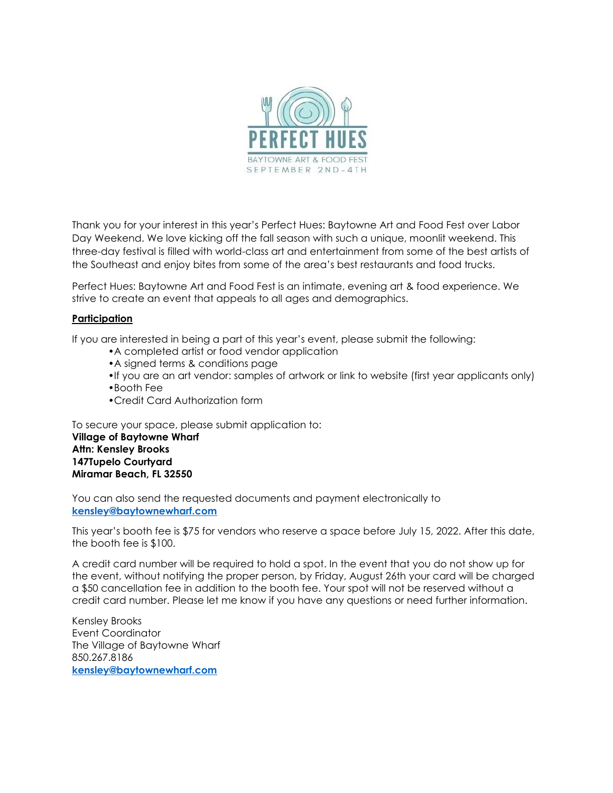

Thank you for your interest in this year's Perfect Hues: Baytowne Art and Food Fest over Labor Day Weekend. We love kicking off the fall season with such a unique, moonlit weekend. This three-day festival is filled with world-class art and entertainment from some of the best artists of the Southeast and enjoy bites from some of the area's best restaurants and food trucks.

Perfect Hues: Baytowne Art and Food Fest is an intimate, evening art & food experience. We strive to create an event that appeals to all ages and demographics.

#### **Participation**

If you are interested in being a part of this year's event, please submit the following:

- •A completed artist or food vendor application
- •A signed terms & conditions page
- •If you are an art vendor: samples of artwork or link to website (first year applicants only)
- •Booth Fee
- •Credit Card Authorization form

To secure your space, please submit application to: **Village of Baytowne Wharf Attn: Kensley Brooks 147Tupelo Courtyard Miramar Beach, FL 32550**

You can also send the requested documents and payment electronically to **[kensley@baytownewharf.com](mailto:kensley@baytownewharf.com)**

This year's booth fee is \$75 for vendors who reserve a space before July 15, 2022. After this date, the booth fee is \$100.

A credit card number will be required to hold a spot. In the event that you do not show up for the event, without notifying the proper person, by Friday, August 26th your card will be charged a \$50 cancellation fee in addition to the booth fee. Your spot will not be reserved without a credit card number. Please let me know if you have any questions or need further information.

Kensley Brooks Event Coordinator The Village of Baytowne Wharf 850.267.8186 **[kensley@baytownewharf.com](mailto:kensley@baytownewharf.com)**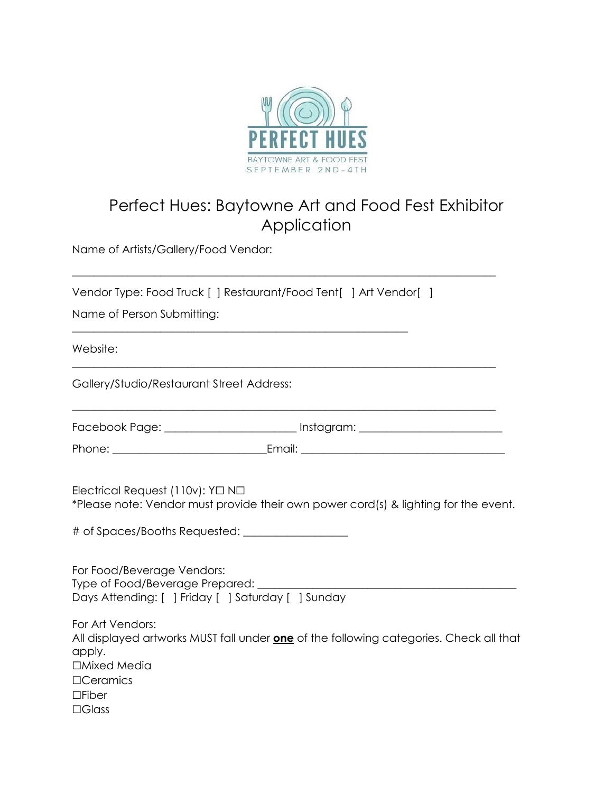

# Perfect Hues: Baytowne Art and Food Fest Exhibitor Application

Name of Artists/Gallery/Food Vendor:

| Vendor Type: Food Truck [] Restaurant/Food Tent[] Art Vendor[] |  |
|----------------------------------------------------------------|--|
|----------------------------------------------------------------|--|

\_\_\_\_\_\_\_\_\_\_\_\_\_\_\_\_\_\_\_\_\_\_\_\_\_\_\_\_\_\_\_\_\_\_\_\_\_\_\_\_\_\_\_\_\_\_\_\_\_\_\_\_\_\_\_\_\_\_\_\_\_

\_\_\_\_\_\_\_\_\_\_\_\_\_\_\_\_\_\_\_\_\_\_\_\_\_\_\_\_\_\_\_\_\_\_\_\_\_\_\_\_\_\_\_\_\_\_\_\_\_\_\_\_\_\_\_\_\_\_\_\_\_\_\_\_\_\_\_\_\_\_\_\_\_\_\_\_\_

Name of Person Submitting:

Website:

Gallery/Studio/Restaurant Street Address:

Facebook Page: \_\_\_\_\_\_\_\_\_\_\_\_\_\_\_\_\_\_\_\_\_\_\_\_\_\_ Instagram: \_\_\_\_\_\_\_\_\_\_\_\_\_\_\_\_\_\_\_\_\_\_\_\_\_\_\_

\_\_\_\_\_\_\_\_\_\_\_\_\_\_\_\_\_\_\_\_\_\_\_\_\_\_\_\_\_\_\_\_\_\_\_\_\_\_\_\_\_\_\_\_\_\_\_\_\_\_\_\_\_\_\_\_\_\_\_\_\_\_\_\_\_\_\_\_\_\_\_\_\_\_\_\_\_

\_\_\_\_\_\_\_\_\_\_\_\_\_\_\_\_\_\_\_\_\_\_\_\_\_\_\_\_\_\_\_\_\_\_\_\_\_\_\_\_\_\_\_\_\_\_\_\_\_\_\_\_\_\_\_\_\_\_\_\_\_\_\_\_\_\_\_\_\_\_\_\_\_\_\_\_\_

Phone: \_\_\_\_\_\_\_\_\_\_\_\_\_\_\_\_\_\_\_\_\_\_\_\_\_\_\_\_Email: \_\_\_\_\_\_\_\_\_\_\_\_\_\_\_\_\_\_\_\_\_\_\_\_\_\_\_\_\_\_\_\_\_\_\_\_\_

Electrical Request (110v): Y☐ N☐ \*Please note: Vendor must provide their own power cord(s) & lighting for the event.

# of Spaces/Booths Requested: \_\_\_\_\_\_\_\_\_\_\_\_\_\_\_\_\_\_\_

| For Food/Beverage Vendors:<br>Type of Food/Beverage Prepared:                                           |
|---------------------------------------------------------------------------------------------------------|
| Days Attending: [] Friday [] Saturday [] Sunday                                                         |
| For Art Vendors:                                                                                        |
| All displayed artworks MUST fall under <b>one</b> of the following categories. Check all that<br>apply. |
| □Mixed Media                                                                                            |
| $\Box$ Ceramics                                                                                         |
| $\Box$ Fiber                                                                                            |

☐Glass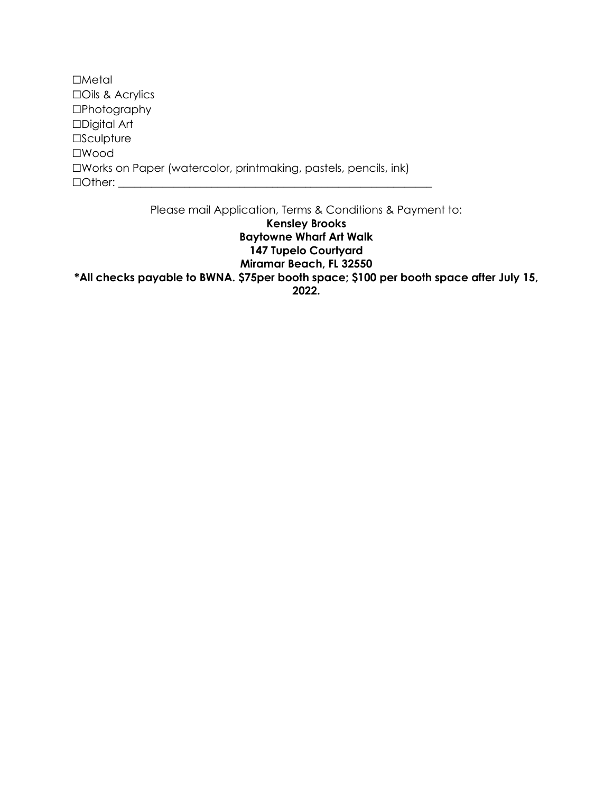☐Metal ☐Oils & Acrylics ☐Photography ☐Digital Art **□Sculpture** ☐Wood ☐Works on Paper (watercolor, printmaking, pastels, pencils, ink)  $\Box$  Other:

Please mail Application, Terms & Conditions & Payment to:

**Kensley Brooks Baytowne Wharf Art Walk 147 Tupelo Courtyard**

**Miramar Beach, FL 32550**

**\*All checks payable to BWNA. \$75per booth space; \$100 per booth space after July 15,**

**2022.**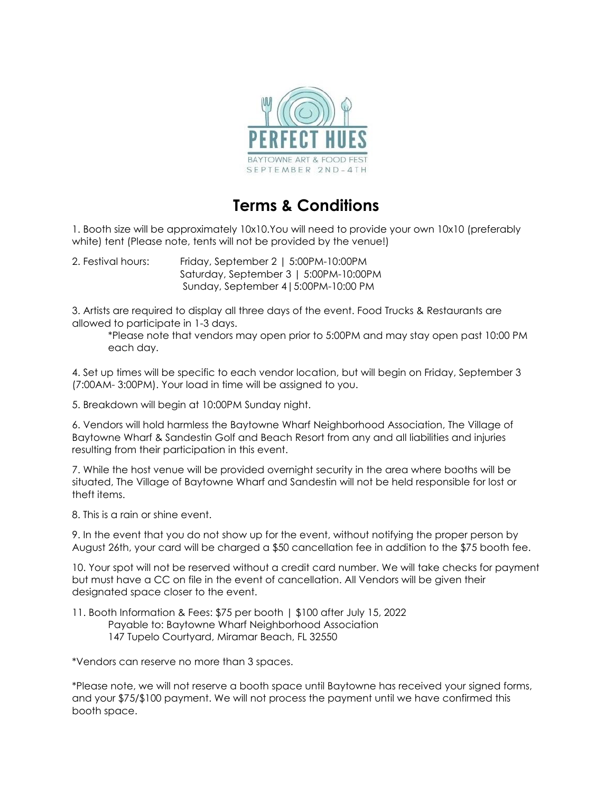

## **Terms & Conditions**

1. Booth size will be approximately 10x10.You will need to provide your own 10x10 (preferably white) tent (Please note, tents will not be provided by the venue!)

2. Festival hours: Friday, September 2 | 5:00PM-10:00PM Saturday, September 3 | 5:00PM-10:00PM Sunday, September 4|5:00PM-10:00 PM

3. Artists are required to display all three days of the event. Food Trucks & Restaurants are allowed to participate in 1-3 days.

\*Please note that vendors may open prior to 5:00PM and may stay open past 10:00 PM each day.

4. Set up times will be specific to each vendor location, but will begin on Friday, September 3 (7:00AM- 3:00PM). Your load in time will be assigned to you.

5. Breakdown will begin at 10:00PM Sunday night.

6. Vendors will hold harmless the Baytowne Wharf Neighborhood Association, The Village of Baytowne Wharf & Sandestin Golf and Beach Resort from any and all liabilities and injuries resulting from their participation in this event.

7. While the host venue will be provided overnight security in the area where booths will be situated, The Village of Baytowne Wharf and Sandestin will not be held responsible for lost or theft items.

8. This is a rain or shine event.

9. In the event that you do not show up for the event, without notifying the proper person by August 26th, your card will be charged a \$50 cancellation fee in addition to the \$75 booth fee.

10. Your spot will not be reserved without a credit card number. We will take checks for payment but must have a CC on file in the event of cancellation. All Vendors will be given their designated space closer to the event.

11. Booth Information & Fees: \$75 per booth | \$100 after July 15, 2022

- Payable to: Baytowne Wharf Neighborhood Association
- 147 Tupelo Courtyard, Miramar Beach, FL 32550

\*Vendors can reserve no more than 3 spaces.

\*Please note, we will not reserve a booth space until Baytowne has received your signed forms, and your \$75/\$100 payment. We will not process the payment until we have confirmed this booth space.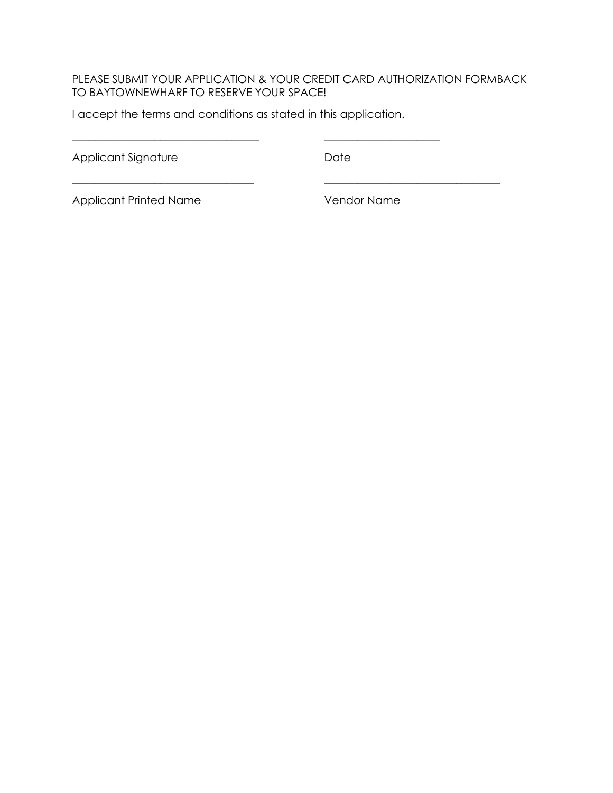#### PLEASE SUBMIT YOUR APPLICATION & YOUR CREDIT CARD AUTHORIZATION FORMBACK TO BAYTOWNEWHARF TO RESERVE YOUR SPACE!

\_\_\_\_\_\_\_\_\_\_\_\_\_\_\_\_\_\_\_\_\_\_\_\_\_\_\_\_\_\_\_\_\_ \_\_\_\_\_\_\_\_\_\_\_\_\_\_\_\_\_\_\_\_\_\_\_\_\_\_\_\_\_\_\_\_

I accept the terms and conditions as stated in this application.

Applicant Signature Date

 $\frac{1}{2}$  ,  $\frac{1}{2}$  ,  $\frac{1}{2}$  ,  $\frac{1}{2}$  ,  $\frac{1}{2}$  ,  $\frac{1}{2}$  ,  $\frac{1}{2}$  ,  $\frac{1}{2}$  ,  $\frac{1}{2}$  ,  $\frac{1}{2}$  ,  $\frac{1}{2}$  ,  $\frac{1}{2}$  ,  $\frac{1}{2}$  ,  $\frac{1}{2}$  ,  $\frac{1}{2}$  ,  $\frac{1}{2}$  ,  $\frac{1}{2}$  ,  $\frac{1}{2}$  ,  $\frac{1$ 

Applicant Printed Name Vendor Name